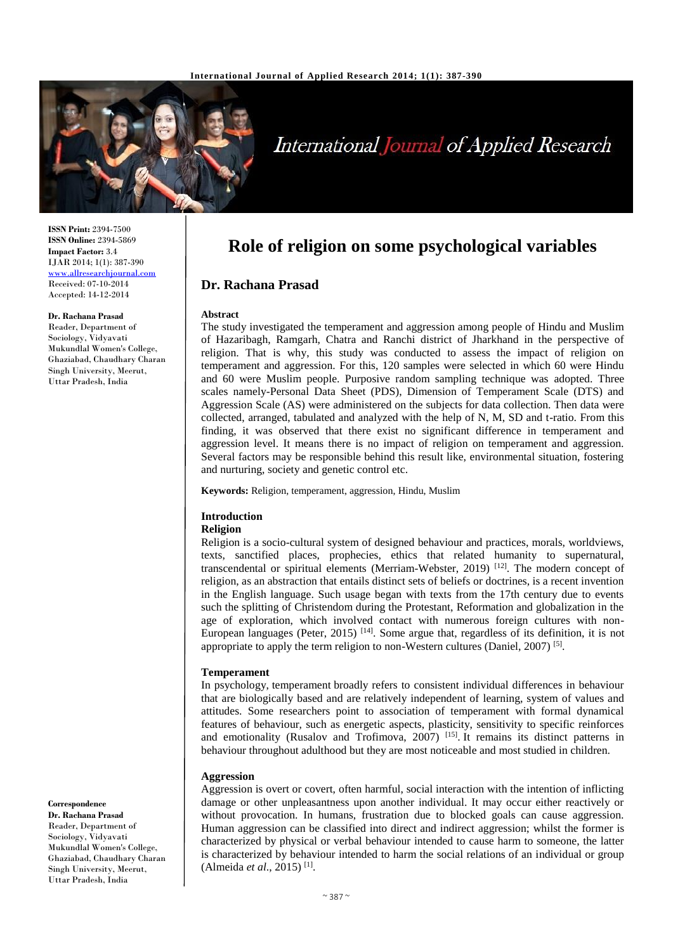

# **International Journal of Applied Research**

**Role of religion on some psychological variables**

The study investigated the temperament and aggression among people of Hindu and Muslim of Hazaribagh, Ramgarh, Chatra and Ranchi district of Jharkhand in the perspective of religion. That is why, this study was conducted to assess the impact of religion on temperament and aggression. For this, 120 samples were selected in which 60 were Hindu and 60 were Muslim people. Purposive random sampling technique was adopted. Three scales namely-Personal Data Sheet (PDS), Dimension of Temperament Scale (DTS) and Aggression Scale (AS) were administered on the subjects for data collection. Then data were collected, arranged, tabulated and analyzed with the help of N, M, SD and t-ratio. From this finding, it was observed that there exist no significant difference in temperament and aggression level. It means there is no impact of religion on temperament and aggression. Several factors may be responsible behind this result like, environmental situation, fostering

**ISSN Print:** 2394-7500 **ISSN Online:** 2394-5869 **Impact Factor:** 3.4 IJAR 2014; 1(1): 387-390 [www.allresearchjournal.com](http://www.allresearchjournal.com/) Received: 07-10-2014 Accepted: 14-12-2014

#### **Dr. Rachana Prasad**

Reader, Department of Sociology, Vidyavati Mukundlal Women's College, Ghaziabad, Chaudhary Charan Singh University, Meerut, Uttar Pradesh, India

**Keywords:** Religion, temperament, aggression, Hindu, Muslim

and nurturing, society and genetic control etc.

## **Introduction**

**Dr. Rachana Prasad**

**Abstract**

#### **Religion**

Religion is a socio-cultural system of designed behaviour and practices, morals, worldviews, texts, sanctified places, prophecies, ethics that related humanity to supernatural, transcendental or spiritual elements (Merriam-Webster, 2019)  $[12]$ . The modern concept of religion, as an abstraction that entails distinct sets of beliefs or doctrines, is a recent invention in the English language. Such usage began with texts from the 17th century due to events such the splitting of Christendom during the Protestant, Reformation and globalization in the age of exploration, which involved contact with numerous foreign cultures with non-European languages (Peter, 2015) <sup>[14]</sup>. Some argue that, regardless of its definition, it is not appropriate to apply the term religion to non-Western cultures (Daniel, 2007)<sup>[5]</sup>.

#### **Temperament**

In psychology, temperament broadly refers to consistent individual differences in behaviour that are biologically based and are relatively independent of learning, system of values and attitudes. Some researchers point to association of temperament with formal dynamical features of behaviour, such as energetic aspects, plasticity, sensitivity to specific reinforces and emotionality (Rusalov and Trofimova, 2007)<sup>[15]</sup>. It remains its distinct patterns in behaviour throughout adulthood but they are most noticeable and most studied in children.

#### **Aggression**

Aggression is overt or covert, often harmful, social interaction with the intention of inflicting damage or other unpleasantness upon another individual. It may occur either reactively or without provocation. In humans, frustration due to blocked goals can cause aggression. Human aggression can be classified into direct and indirect aggression; whilst the former is characterized by physical or verbal behaviour intended to cause harm to someone, the latter is characterized by behaviour intended to harm the social relations of an individual or group (Almeida *et al*., 2015) [1] .

#### **Correspondence**

**Dr. Rachana Prasad** Reader, Department of Sociology, Vidyavati Mukundlal Women's College, Ghaziabad, Chaudhary Charan Singh University, Meerut, Uttar Pradesh, India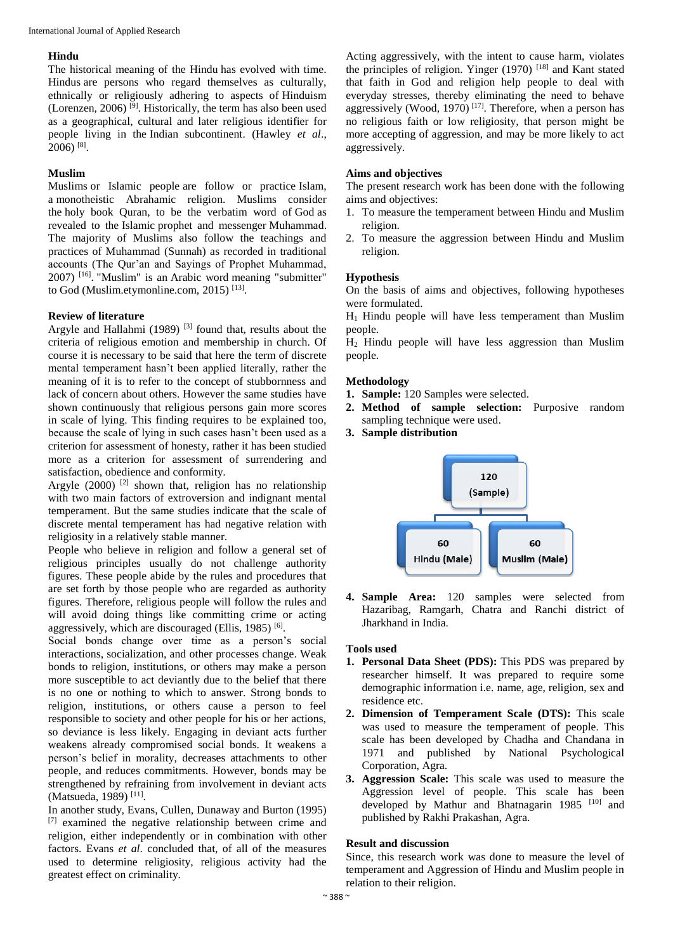## **Hindu**

The historical meaning of the Hindu has evolved with time. Hindus are persons who regard themselves as culturally, ethnically or religiously adhering to aspects of Hinduism (Lorenzen, 2006)<sup>[9]</sup>. Historically, the term has also been used as a geographical, cultural and later religious identifier for people living in the Indian subcontinent. (Hawley *et al*., 2006) [8] .

## **Muslim**

Muslims or Islamic people are follow or practice Islam, a monotheistic Abrahamic religion. Muslims consider the holy book Quran, to be the verbatim word of God as revealed to the Islamic prophet and messenger Muhammad. The majority of Muslims also follow the teachings and practices of Muhammad (Sunnah) as recorded in traditional accounts (The Qur'an and Sayings of Prophet Muhammad, 2007) [16] . "Muslim" is an Arabic word meaning "submitter" to God (Muslim.etymonline.com, 2015)<sup>[13]</sup>.

## **Review of literature**

Argyle and Hallahmi  $(1989)$ <sup>[3]</sup> found that, results about the criteria of religious emotion and membership in church. Of course it is necessary to be said that here the term of discrete mental temperament hasn't been applied literally, rather the meaning of it is to refer to the concept of stubbornness and lack of concern about others. However the same studies have shown continuously that religious persons gain more scores in scale of lying. This finding requires to be explained too, because the scale of lying in such cases hasn't been used as a criterion for assessment of honesty, rather it has been studied more as a criterion for assessment of surrendering and satisfaction, obedience and conformity.

Argyle  $(2000)$ <sup>[2]</sup> shown that, religion has no relationship with two main factors of extroversion and indignant mental temperament. But the same studies indicate that the scale of discrete mental temperament has had negative relation with religiosity in a relatively stable manner.

People who believe in religion and follow a general set of religious principles usually do not challenge authority figures. These people abide by the rules and procedures that are set forth by those people who are regarded as authority figures. Therefore, religious people will follow the rules and will avoid doing things like committing crime or acting aggressively, which are discouraged (Ellis, 1985)<sup>[6]</sup>.

Social bonds change over time as a person's social interactions, socialization, and other processes change. Weak bonds to religion, institutions, or others may make a person more susceptible to act deviantly due to the belief that there is no one or nothing to which to answer. Strong bonds to religion, institutions, or others cause a person to feel responsible to society and other people for his or her actions, so deviance is less likely. Engaging in deviant acts further weakens already compromised social bonds. It weakens a person's belief in morality, decreases attachments to other people, and reduces commitments. However, bonds may be strengthened by refraining from involvement in deviant acts (Matsueda, 1989)<sup>[11]</sup>.

In another study, Evans, Cullen, Dunaway and Burton (1995) [7] examined the negative relationship between crime and religion, either independently or in combination with other factors. Evans *et al*. concluded that, of all of the measures used to determine religiosity, religious activity had the greatest effect on criminality.

Acting aggressively, with the intent to cause harm, violates the principles of religion. Yinger  $(1970)$  [18] and Kant stated that faith in God and religion help people to deal with everyday stresses, thereby eliminating the need to behave aggressively (Wood, 1970)<sup>[17]</sup>. Therefore, when a person has no religious faith or low religiosity, that person might be more accepting of aggression, and may be more likely to act aggressively.

## **Aims and objectives**

The present research work has been done with the following aims and objectives:

- 1. To measure the temperament between Hindu and Muslim religion.
- 2. To measure the aggression between Hindu and Muslim religion.

## **Hypothesis**

On the basis of aims and objectives, following hypotheses were formulated.

 $H_1$  Hindu people will have less temperament than Muslim people.

H<sup>2</sup> Hindu people will have less aggression than Muslim people.

## **Methodology**

- **1. Sample:** 120 Samples were selected.
- **2. Method of sample selection:** Purposive random sampling technique were used.
- **3. Sample distribution**



**4. Sample Area:** 120 samples were selected from Hazaribag, Ramgarh, Chatra and Ranchi district of Jharkhand in India.

#### **Tools used**

- **1. Personal Data Sheet (PDS):** This PDS was prepared by researcher himself. It was prepared to require some demographic information i.e. name, age, religion, sex and residence etc.
- **2. Dimension of Temperament Scale (DTS):** This scale was used to measure the temperament of people. This scale has been developed by Chadha and Chandana in 1971 and published by National Psychological Corporation, Agra.
- **3. Aggression Scale:** This scale was used to measure the Aggression level of people. This scale has been developed by Mathur and Bhatnagarin 1985 [10] and published by Rakhi Prakashan, Agra.

#### **Result and discussion**

Since, this research work was done to measure the level of temperament and Aggression of Hindu and Muslim people in relation to their religion.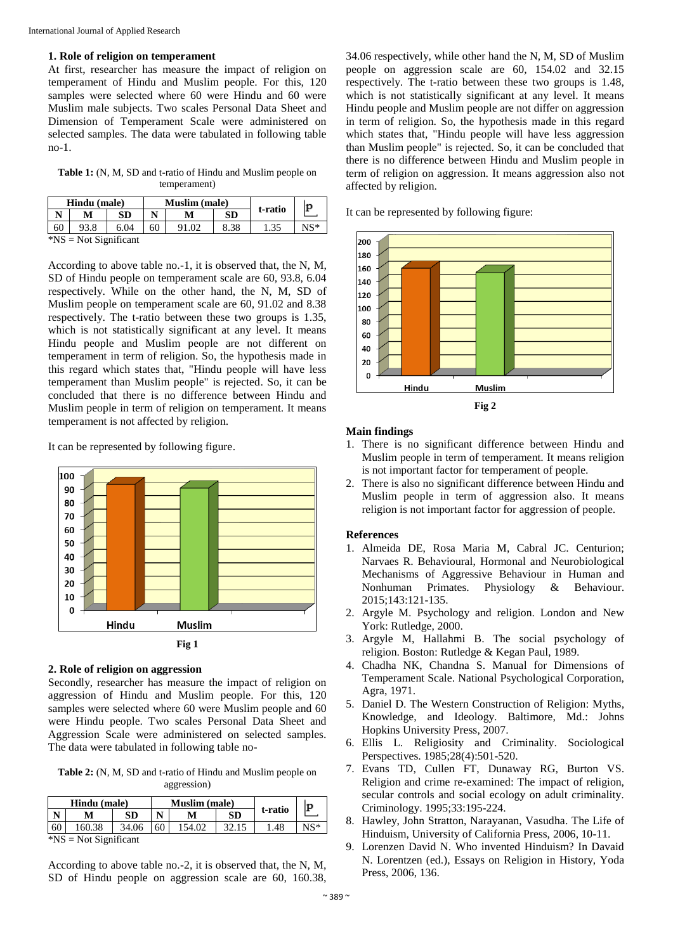#### **1. Role of religion on temperament**

At first, researcher has measure the impact of religion on temperament of Hindu and Muslim people. For this, 120 samples were selected where 60 were Hindu and 60 were Muslim male subjects. Two scales Personal Data Sheet and Dimension of Temperament Scale were administered on selected samples. The data were tabulated in following table no-1.

Table 1: (N, M, SD and t-ratio of Hindu and Muslim people on temperament)

| Hindu (male)          |      |      | <b>Muslim</b> (male) |  |           |         | p     |  |  |  |
|-----------------------|------|------|----------------------|--|-----------|---------|-------|--|--|--|
|                       | M    | SD   | N                    |  | <b>SD</b> | t-ratio |       |  |  |  |
| 60                    | 93.8 | 6.04 | 60                   |  | 8.38      |         | $NS*$ |  |  |  |
| $N = Not Significant$ |      |      |                      |  |           |         |       |  |  |  |

According to above table no.-1, it is observed that, the N, M, SD of Hindu people on temperament scale are 60, 93.8, 6.04 respectively. While on the other hand, the N, M, SD of Muslim people on temperament scale are 60, 91.02 and 8.38 respectively. The t-ratio between these two groups is 1.35, which is not statistically significant at any level. It means Hindu people and Muslim people are not different on temperament in term of religion. So, the hypothesis made in this regard which states that, "Hindu people will have less temperament than Muslim people" is rejected. So, it can be concluded that there is no difference between Hindu and Muslim people in term of religion on temperament. It means temperament is not affected by religion.

It can be represented by following figure.



#### **2. Role of religion on aggression**

Secondly, researcher has measure the impact of religion on aggression of Hindu and Muslim people. For this, 120 samples were selected where 60 were Muslim people and 60 were Hindu people. Two scales Personal Data Sheet and Aggression Scale were administered on selected samples. The data were tabulated in following table no-

**Table 2:** (N, M, SD and t-ratio of Hindu and Muslim people on aggression)

| Hindu (male) |        |       | <b>Muslim</b> (male) |  |    |         | p   |
|--------------|--------|-------|----------------------|--|----|---------|-----|
|              |        | SD    |                      |  | SD | t-ratio |     |
| 60           | 160.38 | 34.06 | 60                   |  | 32 | .48     | NC* |
| <b>JATO</b>  |        |       |                      |  |    |         |     |

\*NS = Not Significant

According to above table no.-2, it is observed that, the N, M, SD of Hindu people on aggression scale are 60, 160.38,

34.06 respectively, while other hand the N, M, SD of Muslim people on aggression scale are 60, 154.02 and 32.15 respectively. The t-ratio between these two groups is 1.48, which is not statistically significant at any level. It means Hindu people and Muslim people are not differ on aggression in term of religion. So, the hypothesis made in this regard which states that, "Hindu people will have less aggression than Muslim people" is rejected. So, it can be concluded that there is no difference between Hindu and Muslim people in term of religion on aggression. It means aggression also not affected by religion.

It can be represented by following figure:



#### **Main findings**

- 1. There is no significant difference between Hindu and Muslim people in term of temperament. It means religion is not important factor for temperament of people.
- 2. There is also no significant difference between Hindu and Muslim people in term of aggression also. It means religion is not important factor for aggression of people.

#### **References**

- 1. Almeida DE, Rosa Maria M, Cabral JC. Centurion; Narvaes R. Behavioural, Hormonal and Neurobiological Mechanisms of Aggressive Behaviour in Human and Nonhuman Primates. Physiology & Behaviour. 2015;143:121-135.
- 2. Argyle M. Psychology and religion. London and New York: Rutledge, 2000.
- 3. Argyle M, Hallahmi B. The social psychology of religion. Boston: Rutledge & Kegan Paul, 1989.
- 4. Chadha NK, Chandna S. Manual for Dimensions of Temperament Scale. National Psychological Corporation, Agra, 1971.
- 5. Daniel D. The Western Construction of Religion: Myths, Knowledge, and Ideology. Baltimore, Md.: Johns Hopkins University Press, 2007.
- 6. Ellis L. Religiosity and Criminality. Sociological Perspectives. 1985;28(4):501-520.
- 7. Evans TD, Cullen FT, Dunaway RG, Burton VS. Religion and crime re-examined: The impact of religion, secular controls and social ecology on adult criminality. Criminology. 1995;33:195-224.
- 8. Hawley, John Stratton, Narayanan, Vasudha. The Life of Hinduism, University of California Press, 2006, 10-11.
- 9. Lorenzen David N. Who invented Hinduism? In Davaid N. Lorentzen (ed.), Essays on Religion in History, Yoda Press, 2006, 136.